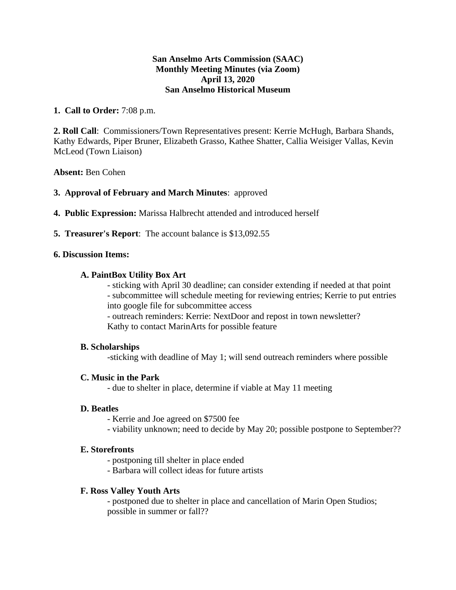### **San Anselmo Arts Commission (SAAC) Monthly Meeting Minutes (via Zoom) April 13, 2020 San Anselmo Historical Museum**

# **1. Call to Order:** 7:08 p.m.

**2. Roll Call**: Commissioners/Town Representatives present: Kerrie McHugh, Barbara Shands, Kathy Edwards, Piper Bruner, Elizabeth Grasso, Kathee Shatter, Callia Weisiger Vallas, Kevin McLeod (Town Liaison)

### **Absent:** Ben Cohen

# **3. Approval of February and March Minutes**: approved

- **4. Public Expression:** Marissa Halbrecht attended and introduced herself
- **5. Treasurer's Report**: The account balance is \$13,092.55

### **6. Discussion Items:**

# **A. PaintBox Utility Box Art**

- sticking with April 30 deadline; can consider extending if needed at that point - subcommittee will schedule meeting for reviewing entries; Kerrie to put entries into google file for subcommittee access

- outreach reminders: Kerrie: NextDoor and repost in town newsletter? Kathy to contact MarinArts for possible feature

### **B. Scholarships**

-sticking with deadline of May 1; will send outreach reminders where possible

### **C. Music in the Park**

- due to shelter in place, determine if viable at May 11 meeting

### **D. Beatles**

- Kerrie and Joe agreed on \$7500 fee
- viability unknown; need to decide by May 20; possible postpone to September??

### **E. Storefronts**

- postponing till shelter in place ended
- Barbara will collect ideas for future artists

### **F. Ross Valley Youth Arts**

- postponed due to shelter in place and cancellation of Marin Open Studios; possible in summer or fall??